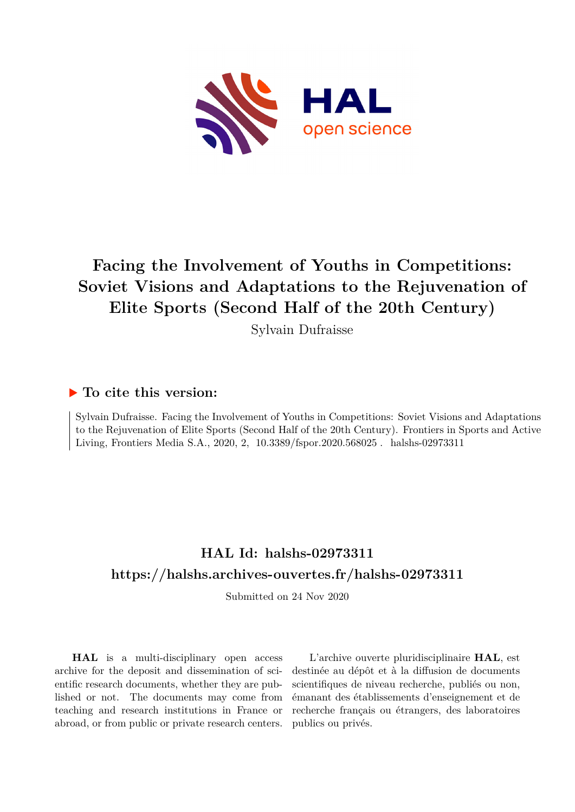

## **Facing the Involvement of Youths in Competitions: Soviet Visions and Adaptations to the Rejuvenation of Elite Sports (Second Half of the 20th Century)**

Sylvain Dufraisse

## **To cite this version:**

Sylvain Dufraisse. Facing the Involvement of Youths in Competitions: Soviet Visions and Adaptations to the Rejuvenation of Elite Sports (Second Half of the 20th Century). Frontiers in Sports and Active Living, Frontiers Media S.A., 2020, 2, 10.3389/fspor.2020.568025. halshs-02973311

## **HAL Id: halshs-02973311 <https://halshs.archives-ouvertes.fr/halshs-02973311>**

Submitted on 24 Nov 2020

**HAL** is a multi-disciplinary open access archive for the deposit and dissemination of scientific research documents, whether they are published or not. The documents may come from teaching and research institutions in France or abroad, or from public or private research centers.

L'archive ouverte pluridisciplinaire **HAL**, est destinée au dépôt et à la diffusion de documents scientifiques de niveau recherche, publiés ou non, émanant des établissements d'enseignement et de recherche français ou étrangers, des laboratoires publics ou privés.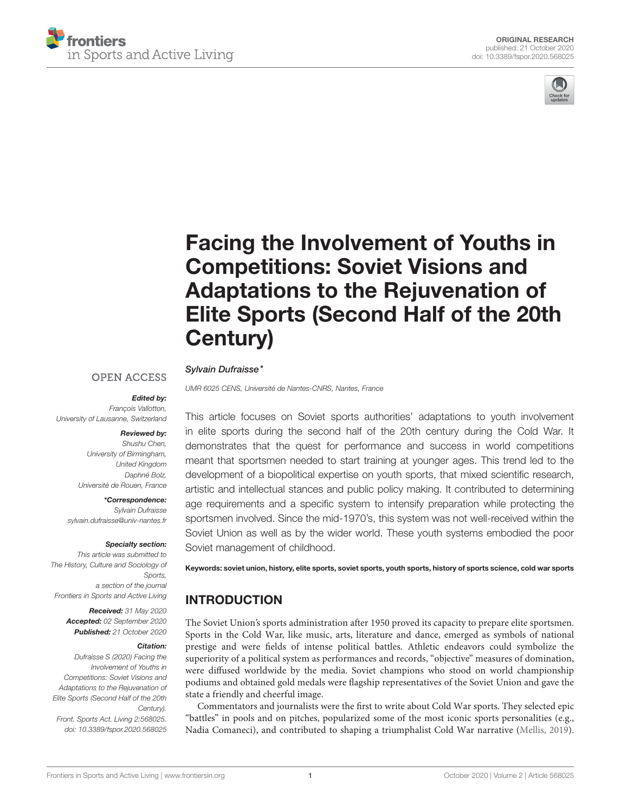



# Facing the Involvement of Youths in Competitions: Soviet Visions and Adaptations to the Rejuvenation of [Elite Sports \(Second Half of the 20th](https://www.frontiersin.org/articles/10.3389/fspor.2020.568025/full) Century)

#### Sylvain Dufraisse\* **OPEN ACCESS**

UMR 6025 CENS, Université de Nantes-CNRS, Nantes, France

#### Edited by: François Vallotton,

University of Lausanne, Switzerland

### Reviewed by:

Shushu Chen, University of Birmingham, United Kingdom Daphné Bolz, Université de Rouen, France

\*Correspondence: Sylvain Dufraisse [sylvain.dufraisse@univ-nantes.fr](mailto:sylvain.dufraisse@univ-nantes.fr)

#### Specialty section:

This article was submitted to The History, Culture and Sociology of Sports, a section of the journal Frontiers in Sports and Active Living

> Received: 31 May 2020 Accepted: 02 September 2020 Published: 21 October 2020

#### Citation:

Dufraisse S (2020) Facing the Involvement of Youths in Competitions: Soviet Visions and Adaptations to the Rejuvenation of Elite Sports (Second Half of the 20th Century). Front. Sports Act. Living 2:568025. doi: [10.3389/fspor.2020.568025](https://doi.org/10.3389/fspor.2020.568025)

This article focuses on Soviet sports authorities' adaptations to youth involvement in elite sports during the second half of the 20th century during the Cold War. It demonstrates that the quest for performance and success in world competitions meant that sportsmen needed to start training at younger ages. This trend led to the development of a biopolitical expertise on youth sports, that mixed scientific research, artistic and intellectual stances and public policy making. It contributed to determining age requirements and a specific system to intensify preparation while protecting the sportsmen involved. Since the mid-1970's, this system was not well-received within the Soviet Union as well as by the wider world. These youth systems embodied the poor Soviet management of childhood.

Keywords: soviet union, history, elite sports, soviet sports, youth sports, history of sports science, cold war sports

#### INTRODUCTION

The Soviet Union's sports administration after 1950 proved its capacity to prepare elite sportsmen. Sports in the Cold War, like music, arts, literature and dance, emerged as symbols of national prestige and were fields of intense political battles. Athletic endeavors could symbolize the superiority of a political system as performances and records, "objective" measures of domination, were diffused worldwide by the media. Soviet champions who stood on world championship podiums and obtained gold medals were flagship representatives of the Soviet Union and gave the state a friendly and cheerful image.

Commentators and journalists were the first to write about Cold War sports. They selected epic "battles" in pools and on pitches, popularized some of the most iconic sports personalities (e.g., Nadia Comaneci), and contributed to shaping a triumphalist Cold War narrative [\(Mellis, 2019\)](#page-13-0).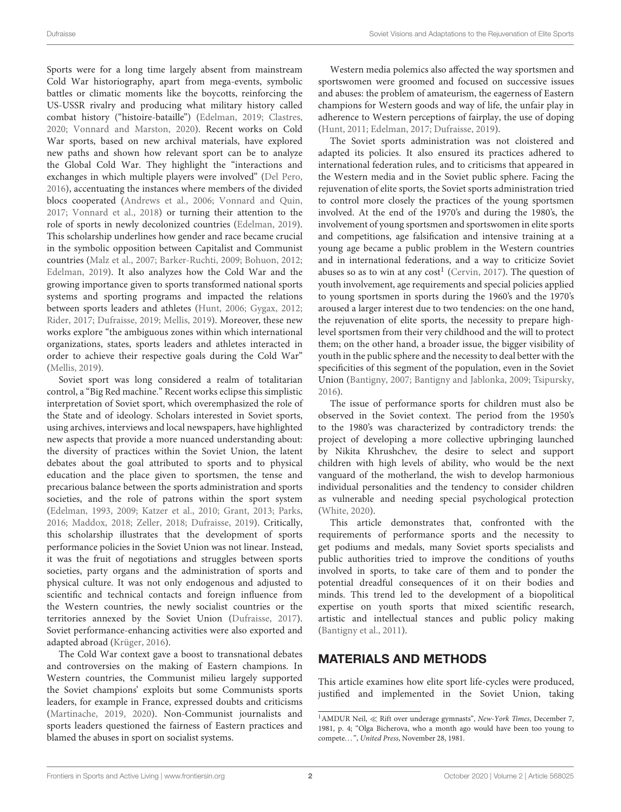Sports were for a long time largely absent from mainstream Cold War historiography, apart from mega-events, symbolic battles or climatic moments like the boycotts, reinforcing the US-USSR rivalry and producing what military history called combat history ("histoire-bataille") [\(Edelman, 2019;](#page-12-0) [Clastres,](#page-12-1) [2020;](#page-12-1) [Vonnard and Marston, 2020\)](#page-13-1). Recent works on Cold War sports, based on new archival materials, have explored new paths and shown how relevant sport can be to analyze the Global Cold War. They highlight the "interactions and exchanges in which multiple players were involved" [\(Del Pero,](#page-12-2) [2016\)](#page-12-2), accentuating the instances where members of the divided blocs cooperated [\(Andrews et al., 2006;](#page-12-3) [Vonnard and Quin,](#page-13-2) [2017;](#page-13-2) [Vonnard et al., 2018\)](#page-13-3) or turning their attention to the role of sports in newly decolonized countries [\(Edelman, 2019\)](#page-12-0). This scholarship underlines how gender and race became crucial in the symbolic opposition between Capitalist and Communist countries [\(Malz et al., 2007;](#page-12-4) [Barker-Ruchti, 2009;](#page-12-5) [Bohuon, 2012;](#page-12-6) [Edelman, 2019\)](#page-12-0). It also analyzes how the Cold War and the growing importance given to sports transformed national sports systems and sporting programs and impacted the relations between sports leaders and athletes [\(Hunt, 2006;](#page-12-7) [Gygax, 2012;](#page-12-8) [Rider, 2017;](#page-13-4) [Dufraisse, 2019;](#page-12-9) [Mellis, 2019\)](#page-13-0). Moreover, these new works explore "the ambiguous zones within which international organizations, states, sports leaders and athletes interacted in order to achieve their respective goals during the Cold War" [\(Mellis, 2019\)](#page-13-0).

Soviet sport was long considered a realm of totalitarian control, a "Big Red machine." Recent works eclipse this simplistic interpretation of Soviet sport, which overemphasized the role of the State and of ideology. Scholars interested in Soviet sports, using archives, interviews and local newspapers, have highlighted new aspects that provide a more nuanced understanding about: the diversity of practices within the Soviet Union, the latent debates about the goal attributed to sports and to physical education and the place given to sportsmen, the tense and precarious balance between the sports administration and sports societies, and the role of patrons within the sport system [\(Edelman, 1993,](#page-12-10) [2009;](#page-12-11) [Katzer et al., 2010;](#page-12-12) [Grant, 2013;](#page-12-13) [Parks,](#page-13-5) [2016;](#page-13-5) [Maddox, 2018;](#page-12-14) [Zeller, 2018;](#page-13-6) [Dufraisse, 2019\)](#page-12-9). Critically, this scholarship illustrates that the development of sports performance policies in the Soviet Union was not linear. Instead, it was the fruit of negotiations and struggles between sports societies, party organs and the administration of sports and physical culture. It was not only endogenous and adjusted to scientific and technical contacts and foreign influence from the Western countries, the newly socialist countries or the territories annexed by the Soviet Union [\(Dufraisse, 2017\)](#page-12-15). Soviet performance-enhancing activities were also exported and adapted abroad [\(Krüger, 2016\)](#page-12-16).

The Cold War context gave a boost to transnational debates and controversies on the making of Eastern champions. In Western countries, the Communist milieu largely supported the Soviet champions' exploits but some Communists sports leaders, for example in France, expressed doubts and criticisms [\(Martinache, 2019,](#page-13-7) [2020\)](#page-13-8). Non-Communist journalists and sports leaders questioned the fairness of Eastern practices and blamed the abuses in sport on socialist systems.

Western media polemics also affected the way sportsmen and sportswomen were groomed and focused on successive issues and abuses: the problem of amateurism, the eagerness of Eastern champions for Western goods and way of life, the unfair play in adherence to Western perceptions of fairplay, the use of doping [\(Hunt, 2011;](#page-12-17) [Edelman, 2017;](#page-12-18) [Dufraisse, 2019\)](#page-12-9).

The Soviet sports administration was not cloistered and adapted its policies. It also ensured its practices adhered to international federation rules, and to criticisms that appeared in the Western media and in the Soviet public sphere. Facing the rejuvenation of elite sports, the Soviet sports administration tried to control more closely the practices of the young sportsmen involved. At the end of the 1970's and during the 1980's, the involvement of young sportsmen and sportswomen in elite sports and competitions, age falsification and intensive training at a young age became a public problem in the Western countries and in international federations, and a way to criticize Soviet abuses so as to win at any  $cost<sup>1</sup>$  $cost<sup>1</sup>$  $cost<sup>1</sup>$  [\(Cervin, 2017\)](#page-12-19). The question of youth involvement, age requirements and special policies applied to young sportsmen in sports during the 1960's and the 1970's aroused a larger interest due to two tendencies: on the one hand, the rejuvenation of elite sports, the necessity to prepare highlevel sportsmen from their very childhood and the will to protect them; on the other hand, a broader issue, the bigger visibility of youth in the public sphere and the necessity to deal better with the specificities of this segment of the population, even in the Soviet Union [\(Bantigny, 2007;](#page-12-20) [Bantigny and Jablonka, 2009;](#page-12-21) [Tsipursky,](#page-13-9) [2016\)](#page-13-9).

The issue of performance sports for children must also be observed in the Soviet context. The period from the 1950's to the 1980's was characterized by contradictory trends: the project of developing a more collective upbringing launched by Nikita Khrushchev, the desire to select and support children with high levels of ability, who would be the next vanguard of the motherland, the wish to develop harmonious individual personalities and the tendency to consider children as vulnerable and needing special psychological protection [\(White, 2020\)](#page-13-10).

This article demonstrates that, confronted with the requirements of performance sports and the necessity to get podiums and medals, many Soviet sports specialists and public authorities tried to improve the conditions of youths involved in sports, to take care of them and to ponder the potential dreadful consequences of it on their bodies and minds. This trend led to the development of a biopolitical expertise on youth sports that mixed scientific research, artistic and intellectual stances and public policy making [\(Bantigny et al., 2011\)](#page-12-22).

## MATERIALS AND METHODS

This article examines how elite sport life-cycles were produced, justified and implemented in the Soviet Union, taking

<span id="page-2-0"></span><sup>1</sup>AMDUR Neil, ≪ Rift over underage gymnasts", New-York Times, December 7, 1981, p. 4; "Olga Bicherova, who a month ago would have been too young to compete...", United Press, November 28, 1981.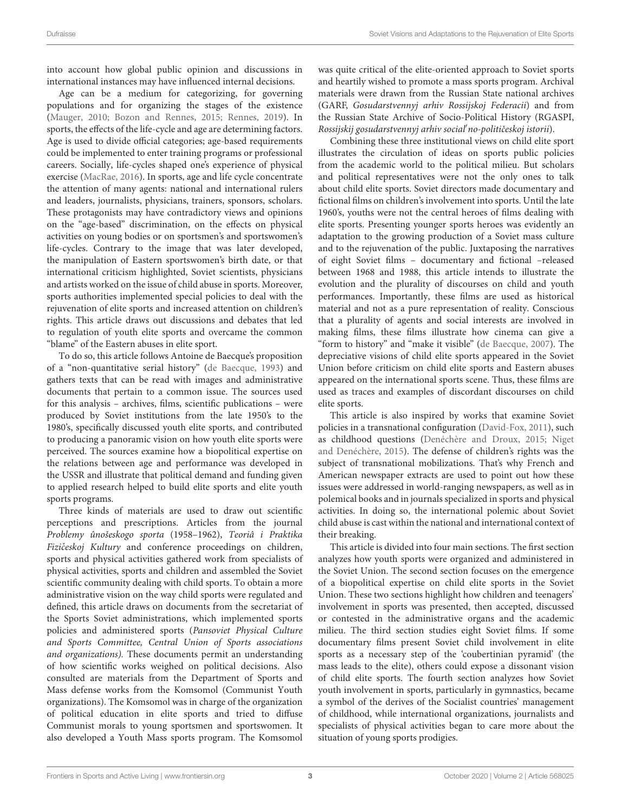into account how global public opinion and discussions in international instances may have influenced internal decisions.

Age can be a medium for categorizing, for governing populations and for organizing the stages of the existence [\(Mauger, 2010;](#page-13-11) [Bozon and Rennes, 2015;](#page-12-23) [Rennes, 2019\)](#page-13-12). In sports, the effects of the life-cycle and age are determining factors. Age is used to divide official categories; age-based requirements could be implemented to enter training programs or professional careers. Socially, life-cycles shaped one's experience of physical exercise [\(MacRae, 2016\)](#page-12-24). In sports, age and life cycle concentrate the attention of many agents: national and international rulers and leaders, journalists, physicians, trainers, sponsors, scholars. These protagonists may have contradictory views and opinions on the "age-based" discrimination, on the effects on physical activities on young bodies or on sportsmen's and sportswomen's life-cycles. Contrary to the image that was later developed, the manipulation of Eastern sportswomen's birth date, or that international criticism highlighted, Soviet scientists, physicians and artists worked on the issue of child abuse in sports. Moreover, sports authorities implemented special policies to deal with the rejuvenation of elite sports and increased attention on children's rights. This article draws out discussions and debates that led to regulation of youth elite sports and overcame the common "blame" of the Eastern abuses in elite sport.

To do so, this article follows Antoine de Baecque's proposition of a "non-quantitative serial history" [\(de Baecque, 1993\)](#page-12-25) and gathers texts that can be read with images and administrative documents that pertain to a common issue. The sources used for this analysis – archives, films, scientific publications – were produced by Soviet institutions from the late 1950's to the 1980's, specifically discussed youth elite sports, and contributed to producing a panoramic vision on how youth elite sports were perceived. The sources examine how a biopolitical expertise on the relations between age and performance was developed in the USSR and illustrate that political demand and funding given to applied research helped to build elite sports and elite youth sports programs.

Three kinds of materials are used to draw out scientific perceptions and prescriptions. Articles from the journal Problemy ûnošeskogo sporta (1958–1962), Teoriâ i Praktika Fizičeskoj Kultury and conference proceedings on children, sports and physical activities gathered work from specialists of physical activities, sports and children and assembled the Soviet scientific community dealing with child sports. To obtain a more administrative vision on the way child sports were regulated and defined, this article draws on documents from the secretariat of the Sports Soviet administrations, which implemented sports policies and administered sports (Pansoviet Physical Culture and Sports Committee, Central Union of Sports associations and organizations). These documents permit an understanding of how scientific works weighed on political decisions. Also consulted are materials from the Department of Sports and Mass defense works from the Komsomol (Communist Youth organizations). The Komsomol was in charge of the organization of political education in elite sports and tried to diffuse Communist morals to young sportsmen and sportswomen. It also developed a Youth Mass sports program. The Komsomol was quite critical of the elite-oriented approach to Soviet sports and heartily wished to promote a mass sports program. Archival materials were drawn from the Russian State national archives (GARF, Gosudarstvennyj arhiv Rossijskoj Federacii) and from the Russian State Archive of Socio-Political History (RGASPI, Rossijskij gosudarstvennyj arhiv social'no-političeskoj istorii).

Combining these three institutional views on child elite sport illustrates the circulation of ideas on sports public policies from the academic world to the political milieu. But scholars and political representatives were not the only ones to talk about child elite sports. Soviet directors made documentary and fictional films on children's involvement into sports. Until the late 1960's, youths were not the central heroes of films dealing with elite sports. Presenting younger sports heroes was evidently an adaptation to the growing production of a Soviet mass culture and to the rejuvenation of the public. Juxtaposing the narratives of eight Soviet films – documentary and fictional –released between 1968 and 1988, this article intends to illustrate the evolution and the plurality of discourses on child and youth performances. Importantly, these films are used as historical material and not as a pure representation of reality. Conscious that a plurality of agents and social interests are involved in making films, these films illustrate how cinema can give a "form to history" and "make it visible" [\(de Baecque, 2007\)](#page-12-26). The depreciative visions of child elite sports appeared in the Soviet Union before criticism on child elite sports and Eastern abuses appeared on the international sports scene. Thus, these films are used as traces and examples of discordant discourses on child elite sports.

This article is also inspired by works that examine Soviet policies in a transnational configuration [\(David-Fox, 2011\)](#page-12-27), such as childhood questions [\(Denéchère and Droux, 2015;](#page-12-28) Niget and Denéchère, [2015\)](#page-13-13). The defense of children's rights was the subject of transnational mobilizations. That's why French and American newspaper extracts are used to point out how these issues were addressed in world-ranging newspapers, as well as in polemical books and in journals specialized in sports and physical activities. In doing so, the international polemic about Soviet child abuse is cast within the national and international context of their breaking.

This article is divided into four main sections. The first section analyzes how youth sports were organized and administered in the Soviet Union. The second section focuses on the emergence of a biopolitical expertise on child elite sports in the Soviet Union. These two sections highlight how children and teenagers' involvement in sports was presented, then accepted, discussed or contested in the administrative organs and the academic milieu. The third section studies eight Soviet films. If some documentary films present Soviet child involvement in elite sports as a necessary step of the 'coubertinian pyramid' (the mass leads to the elite), others could expose a dissonant vision of child elite sports. The fourth section analyzes how Soviet youth involvement in sports, particularly in gymnastics, became a symbol of the derives of the Socialist countries' management of childhood, while international organizations, journalists and specialists of physical activities began to care more about the situation of young sports prodigies.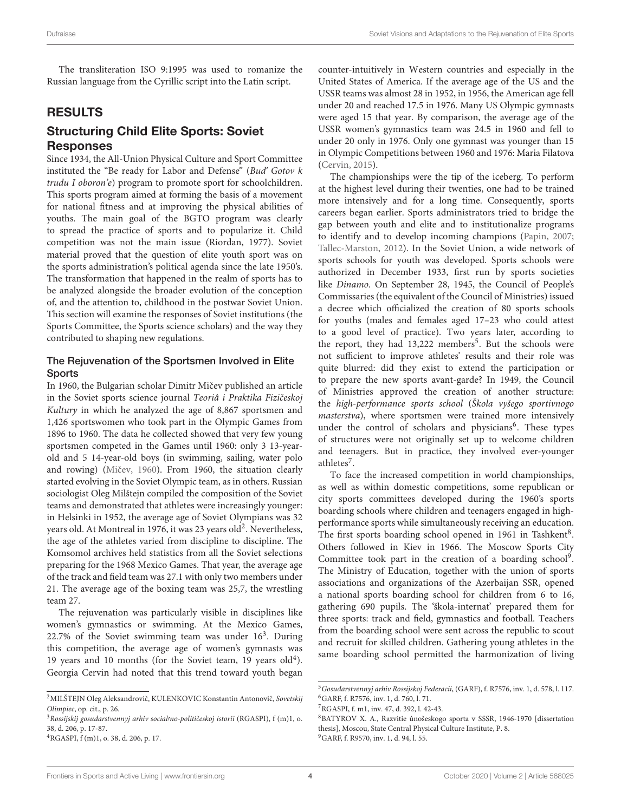The transliteration ISO 9:1995 was used to romanize the Russian language from the Cyrillic script into the Latin script.

### RESULTS

#### Structuring Child Elite Sports: Soviet Responses

Since 1934, the All-Union Physical Culture and Sport Committee instituted the "Be ready for Labor and Defense" (Bud' Gotov k trudu I oboron'e) program to promote sport for schoolchildren. This sports program aimed at forming the basis of a movement for national fitness and at improving the physical abilities of youths. The main goal of the BGTO program was clearly to spread the practice of sports and to popularize it. Child competition was not the main issue (Riordan, 1977). Soviet material proved that the question of elite youth sport was on the sports administration's political agenda since the late 1950's. The transformation that happened in the realm of sports has to be analyzed alongside the broader evolution of the conception of, and the attention to, childhood in the postwar Soviet Union. This section will examine the responses of Soviet institutions (the Sports Committee, the Sports science scholars) and the way they contributed to shaping new regulations.

#### The Rejuvenation of the Sportsmen Involved in Elite **Sports**

In 1960, the Bulgarian scholar Dimitr Mičev published an article in the Soviet sports science journal Teoriâ i Praktika Fizičeskoj Kultury in which he analyzed the age of 8,867 sportsmen and 1,426 sportswomen who took part in the Olympic Games from 1896 to 1960. The data he collected showed that very few young sportsmen competed in the Games until 1960: only 3 13-yearold and 5 14-year-old boys (in swimming, sailing, water polo and rowing) (Mičev, 1960). From 1960, the situation clearly started evolving in the Soviet Olympic team, as in others. Russian sociologist Oleg Milštejn compiled the composition of the Soviet teams and demonstrated that athletes were increasingly younger: in Helsinki in 1952, the average age of Soviet Olympians was 32 years old. At Montreal in 1976, it was [2](#page-4-0)3 years old<sup>2</sup>. Nevertheless, the age of the athletes varied from discipline to discipline. The Komsomol archives held statistics from all the Soviet selections preparing for the 1968 Mexico Games. That year, the average age of the track and field team was 27.1 with only two members under 21. The average age of the boxing team was 25,7, the wrestling team 27.

The rejuvenation was particularly visible in disciplines like women's gymnastics or swimming. At the Mexico Games, 22.7% of the Soviet swimming team was under  $16<sup>3</sup>$  $16<sup>3</sup>$  $16<sup>3</sup>$ . During this competition, the average age of women's gymnasts was 19 years and 10 months (for the Soviet team, 19 years  $old<sup>4</sup>$  $old<sup>4</sup>$  $old<sup>4</sup>$ ). Georgia Cervin had noted that this trend toward youth began counter-intuitively in Western countries and especially in the United States of America. If the average age of the US and the USSR teams was almost 28 in 1952, in 1956, the American age fell under 20 and reached 17.5 in 1976. Many US Olympic gymnasts were aged 15 that year. By comparison, the average age of the USSR women's gymnastics team was 24.5 in 1960 and fell to under 20 only in 1976. Only one gymnast was younger than 15 in Olympic Competitions between 1960 and 1976: Maria Filatova [\(Cervin, 2015\)](#page-12-29).

The championships were the tip of the iceberg. To perform at the highest level during their twenties, one had to be trained more intensively and for a long time. Consequently, sports careers began earlier. Sports administrators tried to bridge the gap between youth and elite and to institutionalize programs to identify and to develop incoming champions [\(Papin, 2007;](#page-13-15) [Tallec-Marston, 2012\)](#page-13-16). In the Soviet Union, a wide network of sports schools for youth was developed. Sports schools were authorized in December 1933, first run by sports societies like Dinamo. On September 28, 1945, the Council of People's Commissaries (the equivalent of the Council of Ministries) issued a decree which officialized the creation of 80 sports schools for youths (males and females aged 17–23 who could attest to a good level of practice). Two years later, according to the report, they had  $13,222$  members<sup>[5](#page-4-3)</sup>. But the schools were not sufficient to improve athletes' results and their role was quite blurred: did they exist to extend the participation or to prepare the new sports avant-garde? In 1949, the Council of Ministries approved the creation of another structure: the high-performance sports school (Škola vyšego sportivnogo masterstva), where sportsmen were trained more intensively under the control of scholars and physicians<sup>[6](#page-4-4)</sup>. These types of structures were not originally set up to welcome children and teenagers. But in practice, they involved ever-younger athletes<sup>[7](#page-4-5)</sup>.

To face the increased competition in world championships, as well as within domestic competitions, some republican or city sports committees developed during the 1960's sports boarding schools where children and teenagers engaged in highperformance sports while simultaneously receiving an education. The first sports boarding school opened in 1961 in Tashkent<sup>[8](#page-4-6)</sup>. Others followed in Kiev in 1966. The Moscow Sports City Committee took part in the creation of a boarding school<sup>[9](#page-4-7)</sup>. The Ministry of Education, together with the union of sports associations and organizations of the Azerbaijan SSR, opened a national sports boarding school for children from 6 to 16, gathering 690 pupils. The 'škola-internat' prepared them for three sports: track and field, gymnastics and football. Teachers from the boarding school were sent across the republic to scout and recruit for skilled children. Gathering young athletes in the same boarding school permitted the harmonization of living

<span id="page-4-0"></span><sup>&</sup>lt;sup>2</sup>MILŠTEJN Oleg Aleksandrovič, KULENKOVIC Konstantin Antonovič, Sovetskij Olimpiec, op. cit., p. 26.

<span id="page-4-1"></span> $3$ Rossijskij gosudarstvennyj arhiv social $n$ o-političeskoj istorii (RGASPI), f (m)1, o. 38, d. 206, p. 17-87.

<span id="page-4-2"></span><sup>4</sup>RGASPI, f (m)1, o. 38, d. 206, p. 17.

<span id="page-4-4"></span><span id="page-4-3"></span><sup>5</sup>Gosudarstvennyj arhiv Rossijskoj Federacii, (GARF), f. R7576, inv. 1, d. 578, l. 117. <sup>6</sup>GARF, f. R7576, inv. 1, d. 760, l. 71.

<span id="page-4-5"></span><sup>7</sup>RGASPI, f. m1, inv. 47, d. 392, l. 42-43.

<span id="page-4-7"></span><span id="page-4-6"></span><sup>8</sup>BATYROV X. A., Razvitie ûnošeskogo sporta v SSSR, 1946-1970 [dissertation thesis], Moscou, State Central Physical Culture Institute, P. 8. <sup>9</sup>GARF, f. R9570, inv. 1, d. 94, l. 55.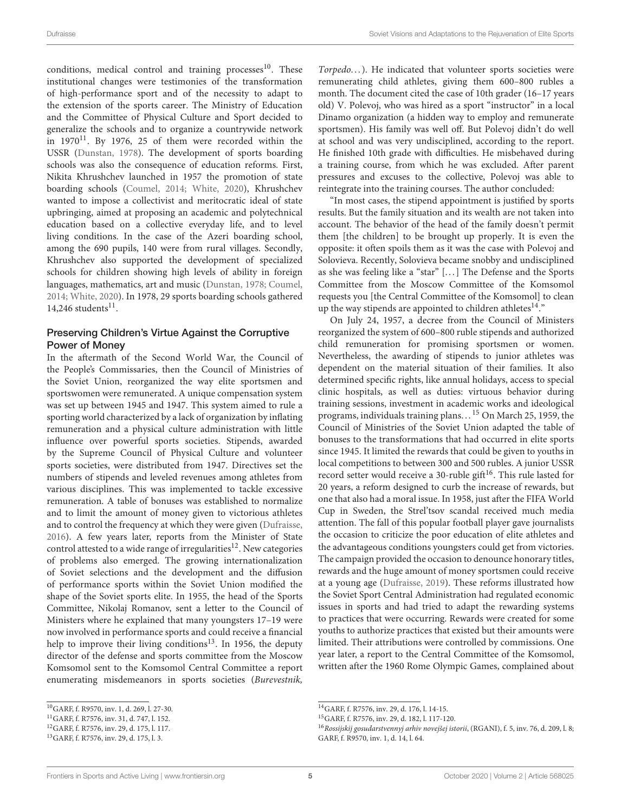conditions, medical control and training processes $10$ . These institutional changes were testimonies of the transformation of high-performance sport and of the necessity to adapt to the extension of the sports career. The Ministry of Education and the Committee of Physical Culture and Sport decided to generalize the schools and to organize a countrywide network in  $1970^{11}$  $1970^{11}$  $1970^{11}$ . By 1976, 25 of them were recorded within the USSR [\(Dunstan, 1978\)](#page-12-30). The development of sports boarding schools was also the consequence of education reforms. First, Nikita Khrushchev launched in 1957 the promotion of state boarding schools [\(Coumel, 2014;](#page-12-31) [White, 2020\)](#page-13-10), Khrushchev wanted to impose a collectivist and meritocratic ideal of state upbringing, aimed at proposing an academic and polytechnical education based on a collective everyday life, and to level living conditions. In the case of the Azeri boarding school, among the 690 pupils, 140 were from rural villages. Secondly, Khrushchev also supported the development of specialized schools for children showing high levels of ability in foreign languages, mathematics, art and music [\(Dunstan, 1978;](#page-12-30) [Coumel,](#page-12-31) [2014;](#page-12-31) [White, 2020\)](#page-13-10). In 1978, 29 sports boarding schools gathered  $14,246$  students<sup>11</sup>.

#### Preserving Children's Virtue Against the Corruptive Power of Money

In the aftermath of the Second World War, the Council of the People's Commissaries, then the Council of Ministries of the Soviet Union, reorganized the way elite sportsmen and sportswomen were remunerated. A unique compensation system was set up between 1945 and 1947. This system aimed to rule a sporting world characterized by a lack of organization by inflating remuneration and a physical culture administration with little influence over powerful sports societies. Stipends, awarded by the Supreme Council of Physical Culture and volunteer sports societies, were distributed from 1947. Directives set the numbers of stipends and leveled revenues among athletes from various disciplines. This was implemented to tackle excessive remuneration. A table of bonuses was established to normalize and to limit the amount of money given to victorious athletes and to control the frequency at which they were given [\(Dufraisse,](#page-12-32) [2016\)](#page-12-32). A few years later, reports from the Minister of State control attested to a wide range of irregularities<sup>[12](#page-5-2)</sup>. New categories of problems also emerged. The growing internationalization of Soviet selections and the development and the diffusion of performance sports within the Soviet Union modified the shape of the Soviet sports elite. In 1955, the head of the Sports Committee, Nikolaj Romanov, sent a letter to the Council of Ministers where he explained that many youngsters 17–19 were now involved in performance sports and could receive a financial help to improve their living conditions<sup>[13](#page-5-3)</sup>. In 1956, the deputy director of the defense and sports committee from the Moscow Komsomol sent to the Komsomol Central Committee a report enumerating misdemeanors in sports societies (Burevestnik, Torpedo...). He indicated that volunteer sports societies were remunerating child athletes, giving them 600–800 rubles a month. The document cited the case of 10th grader (16–17 years old) V. Polevoj, who was hired as a sport "instructor" in a local Dinamo organization (a hidden way to employ and remunerate sportsmen). His family was well off. But Polevoj didn't do well at school and was very undisciplined, according to the report. He finished 10th grade with difficulties. He misbehaved during a training course, from which he was excluded. After parent pressures and excuses to the collective, Polevoj was able to reintegrate into the training courses. The author concluded:

"In most cases, the stipend appointment is justified by sports results. But the family situation and its wealth are not taken into account. The behavior of the head of the family doesn't permit them [the children] to be brought up properly. It is even the opposite: it often spoils them as it was the case with Polevoj and Solovieva. Recently, Solovieva became snobby and undisciplined as she was feeling like a "star" [. . . ] The Defense and the Sports Committee from the Moscow Committee of the Komsomol requests you [the Central Committee of the Komsomol] to clean up the way stipends are appointed to children athletes<sup>[14](#page-5-4)</sup>."

On July 24, 1957, a decree from the Council of Ministers reorganized the system of 600–800 ruble stipends and authorized child remuneration for promising sportsmen or women. Nevertheless, the awarding of stipends to junior athletes was dependent on the material situation of their families. It also determined specific rights, like annual holidays, access to special clinic hospitals, as well as duties: virtuous behavior during training sessions, investment in academic works and ideological programs, individuals training plans. . . [15](#page-5-5) On March 25, 1959, the Council of Ministries of the Soviet Union adapted the table of bonuses to the transformations that had occurred in elite sports since 1945. It limited the rewards that could be given to youths in local competitions to between 300 and 500 rubles. A junior USSR record setter would receive a 30-ruble gift<sup>[16](#page-5-6)</sup>. This rule lasted for 20 years, a reform designed to curb the increase of rewards, but one that also had a moral issue. In 1958, just after the FIFA World Cup in Sweden, the Strel'tsov scandal received much media attention. The fall of this popular football player gave journalists the occasion to criticize the poor education of elite athletes and the advantageous conditions youngsters could get from victories. The campaign provided the occasion to denounce honorary titles, rewards and the huge amount of money sportsmen could receive at a young age [\(Dufraisse, 2019\)](#page-12-9). These reforms illustrated how the Soviet Sport Central Administration had regulated economic issues in sports and had tried to adapt the rewarding systems to practices that were occurring. Rewards were created for some youths to authorize practices that existed but their amounts were limited. Their attributions were controlled by commissions. One year later, a report to the Central Committee of the Komsomol, written after the 1960 Rome Olympic Games, complained about

<span id="page-5-0"></span><sup>10</sup>GARF, f. R9570, inv. 1, d. 269, l. 27-30.

<span id="page-5-1"></span><sup>11</sup>GARF, f. R7576, inv. 31, d. 747, l. 152.

<span id="page-5-2"></span><sup>12</sup>GARF, f. R7576, inv. 29, d. 175, l. 117.

<span id="page-5-3"></span><sup>13</sup>GARF, f. R7576, inv. 29, d. 175, l. 3.

<span id="page-5-4"></span><sup>14</sup>GARF, f. R7576, inv. 29, d. 176, l. 14-15.

<span id="page-5-5"></span><sup>15</sup>GARF, f. R7576, inv. 29, d. 182, l. 117-120.

<span id="page-5-6"></span><sup>&</sup>lt;sup>16</sup> Rossijskij gosudarstvennyj arhiv novejšej istorii, (RGANI), f. 5, inv. 76, d. 209, l. 8; GARF, f. R9570, inv. 1, d. 14, l. 64.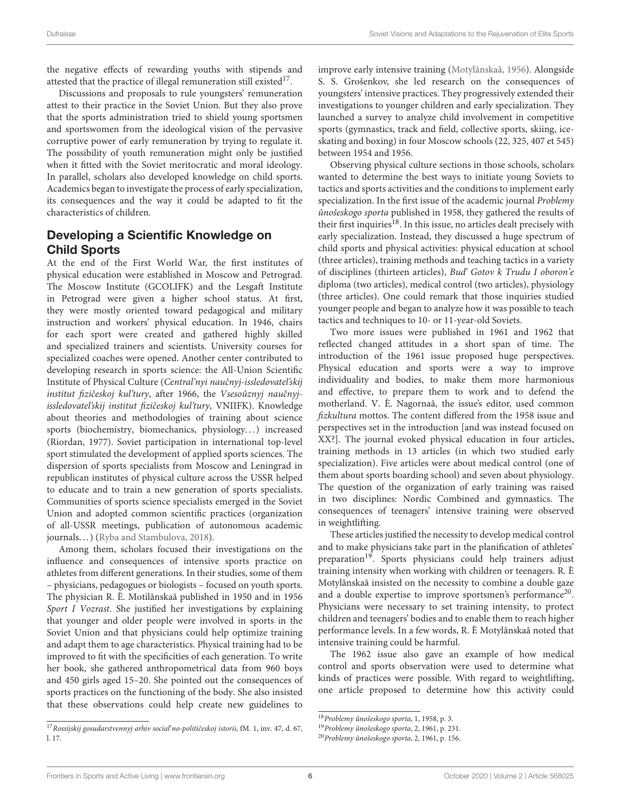the negative effects of rewarding youths with stipends and attested that the practice of illegal remuneration still existed $^{17}$  $^{17}$  $^{17}$ .

Discussions and proposals to rule youngsters' remuneration attest to their practice in the Soviet Union. But they also prove that the sports administration tried to shield young sportsmen and sportswomen from the ideological vision of the pervasive corruptive power of early remuneration by trying to regulate it. The possibility of youth remuneration might only be justified when it fitted with the Soviet meritocratic and moral ideology. In parallel, scholars also developed knowledge on child sports. Academics began to investigate the process of early specialization, its consequences and the way it could be adapted to fit the characteristics of children.

#### Developing a Scientific Knowledge on Child Sports

At the end of the First World War, the first institutes of physical education were established in Moscow and Petrograd. The Moscow Institute (GCOLIFK) and the Lesgaft Institute in Petrograd were given a higher school status. At first, they were mostly oriented toward pedagogical and military instruction and workers' physical education. In 1946, chairs for each sport were created and gathered highly skilled and specialized trainers and scientists. University courses for specialized coaches were opened. Another center contributed to developing research in sports science: the All-Union Scientific Institute of Physical Culture (Central'nyi naučnyj-issledovateľskij institut fizičeskoj kul'tury, after 1966, the Vsesoûznyj naučnyjissledovateľskij institut fizičeskoj kuľtury, VNIIFK). Knowledge about theories and methodologies of training about science sports (biochemistry, biomechanics, physiology...) increased (Riordan, 1977). Soviet participation in international top-level sport stimulated the development of applied sports sciences. The dispersion of sports specialists from Moscow and Leningrad in republican institutes of physical culture across the USSR helped to educate and to train a new generation of sports specialists. Communities of sports science specialists emerged in the Soviet Union and adopted common scientific practices (organization of all-USSR meetings, publication of autonomous academic journals...) [\(Ryba and Stambulova, 2018\)](#page-13-17).

Among them, scholars focused their investigations on the influence and consequences of intensive sports practice on athletes from different generations. In their studies, some of them – physicians, pedagogues or biologists – focused on youth sports. The physician R. È. Motilânskaâ published in 1950 and in 1956 Sport I Vozrast. She justified her investigations by explaining that younger and older people were involved in sports in the Soviet Union and that physicians could help optimize training and adapt them to age characteristics. Physical training had to be improved to fit with the specificities of each generation. To write her book, she gathered anthropometrical data from 960 boys and 450 girls aged 15–20. She pointed out the consequences of sports practices on the functioning of the body. She also insisted that these observations could help create new guidelines to improve early intensive training [\(Motylânskaâ, 1956\)](#page-13-18). Alongside S. S. Grošenkov, she led research on the consequences of youngsters' intensive practices. They progressively extended their investigations to younger children and early specialization. They launched a survey to analyze child involvement in competitive sports (gymnastics, track and field, collective sports, skiing, iceskating and boxing) in four Moscow schools (22, 325, 407 et 545) between 1954 and 1956.

Observing physical culture sections in those schools, scholars wanted to determine the best ways to initiate young Soviets to tactics and sports activities and the conditions to implement early specialization. In the first issue of the academic journal Problemy ûnošeskogo sporta published in 1958, they gathered the results of their first inquiries<sup>[18](#page-6-1)</sup>. In this issue, no articles dealt precisely with early specialization. Instead, they discussed a huge spectrum of child sports and physical activities: physical education at school (three articles), training methods and teaching tactics in a variety of disciplines (thirteen articles), Bud' Gotov k Trudu I oboron'e diploma (two articles), medical control (two articles), physiology (three articles). One could remark that those inquiries studied younger people and began to analyze how it was possible to teach tactics and techniques to 10- or 11-year-old Soviets.

Two more issues were published in 1961 and 1962 that reflected changed attitudes in a short span of time. The introduction of the 1961 issue proposed huge perspectives. Physical education and sports were a way to improve individuality and bodies, to make them more harmonious and effective, to prepare them to work and to defend the motherland. V. È. Nagornaâ, the issue's editor, used common fizkultura mottos. The content differed from the 1958 issue and perspectives set in the introduction [and was instead focused on XX?]. The journal evoked physical education in four articles, training methods in 13 articles (in which two studied early specialization). Five articles were about medical control (one of them about sports boarding school) and seven about physiology. The question of the organization of early training was raised in two disciplines: Nordic Combined and gymnastics. The consequences of teenagers' intensive training were observed in weightlifting.

These articles justified the necessity to develop medical control and to make physicians take part in the planification of athletes' preparation<sup>[19](#page-6-2)</sup>. Sports physicians could help trainers adjust training intensity when working with children or teenagers. R. È Motylânskaâ insisted on the necessity to combine a double gaze and a double expertise to improve sportsmen's performance<sup>[20](#page-6-3)</sup>. Physicians were necessary to set training intensity, to protect children and teenagers' bodies and to enable them to reach higher performance levels. In a few words, R. È Motylânskaâ noted that intensive training could be harmful.

The 1962 issue also gave an example of how medical control and sports observation were used to determine what kinds of practices were possible. With regard to weightlifting, one article proposed to determine how this activity could

<span id="page-6-0"></span><sup>&</sup>lt;sup>17</sup> Rossijskij gosudarstvennyj arhiv social<sup>'</sup> no-političeskoj istorii, fM. 1, inv. 47, d. 67, l. 17.

<span id="page-6-1"></span><sup>18</sup>Problemy ûnošeskogo sporta, 1, 1958, p. 3.

<span id="page-6-2"></span><sup>19</sup>Problemy ûnošeskogo sporta, 2, 1961, p. 231.

<span id="page-6-3"></span><sup>20</sup>Problemy ûnošeskogo sporta, 2, 1961, p. 156.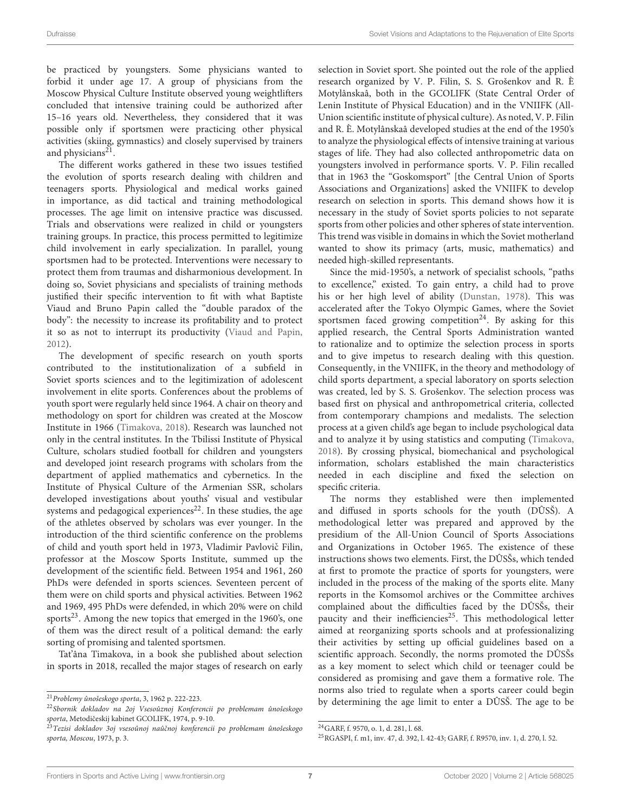be practiced by youngsters. Some physicians wanted to forbid it under age 17. A group of physicians from the Moscow Physical Culture Institute observed young weightlifters concluded that intensive training could be authorized after 15–16 years old. Nevertheless, they considered that it was possible only if sportsmen were practicing other physical activities (skiing, gymnastics) and closely supervised by trainers and physicians<sup>[21](#page-7-0)</sup>.

The different works gathered in these two issues testified the evolution of sports research dealing with children and teenagers sports. Physiological and medical works gained in importance, as did tactical and training methodological processes. The age limit on intensive practice was discussed. Trials and observations were realized in child or youngsters training groups. In practice, this process permitted to legitimize child involvement in early specialization. In parallel, young sportsmen had to be protected. Interventions were necessary to protect them from traumas and disharmonious development. In doing so, Soviet physicians and specialists of training methods justified their specific intervention to fit with what Baptiste Viaud and Bruno Papin called the "double paradox of the body": the necessity to increase its profitability and to protect it so as not to interrupt its productivity [\(Viaud and Papin,](#page-13-19) [2012\)](#page-13-19).

The development of specific research on youth sports contributed to the institutionalization of a subfield in Soviet sports sciences and to the legitimization of adolescent involvement in elite sports. Conferences about the problems of youth sport were regularly held since 1964. A chair on theory and methodology on sport for children was created at the Moscow Institute in 1966 [\(Timakova, 2018\)](#page-13-20). Research was launched not only in the central institutes. In the Tbilissi Institute of Physical Culture, scholars studied football for children and youngsters and developed joint research programs with scholars from the department of applied mathematics and cybernetics. In the Institute of Physical Culture of the Armenian SSR, scholars developed investigations about youths' visual and vestibular systems and pedagogical experiences<sup>[22](#page-7-1)</sup>. In these studies, the age of the athletes observed by scholars was ever younger. In the introduction of the third scientific conference on the problems of child and youth sport held in 1973, Vladimir Pavlovič Filin, professor at the Moscow Sports Institute, summed up the development of the scientific field. Between 1954 and 1961, 260 PhDs were defended in sports sciences. Seventeen percent of them were on child sports and physical activities. Between 1962 and 1969, 495 PhDs were defended, in which 20% were on child sports $^{23}$  $^{23}$  $^{23}$ . Among the new topics that emerged in the 1960's, one of them was the direct result of a political demand: the early sorting of promising and talented sportsmen.

Tat'âna Timakova, in a book she published about selection in sports in 2018, recalled the major stages of research on early selection in Soviet sport. She pointed out the role of the applied research organized by V. P. Filin, S. S. Grošenkov and R. È Motylânskaâ, both in the GCOLIFK (State Central Order of Lenin Institute of Physical Education) and in the VNIIFK (All-Union scientific institute of physical culture). As noted, V. P. Filin and R. È. Motylânskaâ developed studies at the end of the 1950's to analyze the physiological effects of intensive training at various stages of life. They had also collected anthropometric data on youngsters involved in performance sports. V. P. Filin recalled that in 1963 the "Goskomsport" [the Central Union of Sports Associations and Organizations] asked the VNIIFK to develop research on selection in sports. This demand shows how it is necessary in the study of Soviet sports policies to not separate sports from other policies and other spheres of state intervention. This trend was visible in domains in which the Soviet motherland wanted to show its primacy (arts, music, mathematics) and needed high-skilled representants.

Since the mid-1950's, a network of specialist schools, "paths to excellence," existed. To gain entry, a child had to prove his or her high level of ability [\(Dunstan, 1978\)](#page-12-30). This was accelerated after the Tokyo Olympic Games, where the Soviet sportsmen faced growing competition<sup>[24](#page-7-3)</sup>. By asking for this applied research, the Central Sports Administration wanted to rationalize and to optimize the selection process in sports and to give impetus to research dealing with this question. Consequently, in the VNIIFK, in the theory and methodology of child sports department, a special laboratory on sports selection was created, led by S. S. Grošenkov. The selection process was based first on physical and anthropometrical criteria, collected from contemporary champions and medalists. The selection process at a given child's age began to include psychological data and to analyze it by using statistics and computing [\(Timakova,](#page-13-20) [2018\)](#page-13-20). By crossing physical, biomechanical and psychological information, scholars established the main characteristics needed in each discipline and fixed the selection on specific criteria.

The norms they established were then implemented and diffused in sports schools for the youth (DÛSŠ). A methodological letter was prepared and approved by the presidium of the All-Union Council of Sports Associations and Organizations in October 1965. The existence of these instructions shows two elements. First, the DÛSŠs, which tended at first to promote the practice of sports for youngsters, were included in the process of the making of the sports elite. Many reports in the Komsomol archives or the Committee archives complained about the difficulties faced by the DÛSŠs, their paucity and their inefficiencies $25$ . This methodological letter aimed at reorganizing sports schools and at professionalizing their activities by setting up official guidelines based on a scientific approach. Secondly, the norms promoted the DÛSŠs as a key moment to select which child or teenager could be considered as promising and gave them a formative role. The norms also tried to regulate when a sports career could begin by determining the age limit to enter a DÛSŠ. The age to be

<span id="page-7-0"></span><sup>21</sup>Problemy ûnošeskogo sporta, 3, 1962 p. 222-223.

<span id="page-7-1"></span><sup>22</sup>Sbornik dokladov na 2oj Vsesoûznoj Konferencii po problemam ûnošeskogo sporta, Metodičeskij kabinet GCOLIFK, 1974, p. 9-10.

<span id="page-7-2"></span><sup>&</sup>lt;sup>23</sup>Tezisi dokladov 30j vsesoûnoj naûčnoj konferencii po problemam ûnošeskogo sporta, Moscou, 1973, p. 3.

<span id="page-7-3"></span><sup>24</sup>GARF, f. 9570, o. 1, d. 281, l. 68.

<span id="page-7-4"></span><sup>25</sup>RGASPI, f. m1, inv. 47, d. 392, l. 42-43; GARF, f. R9570, inv. 1, d. 270, l. 52.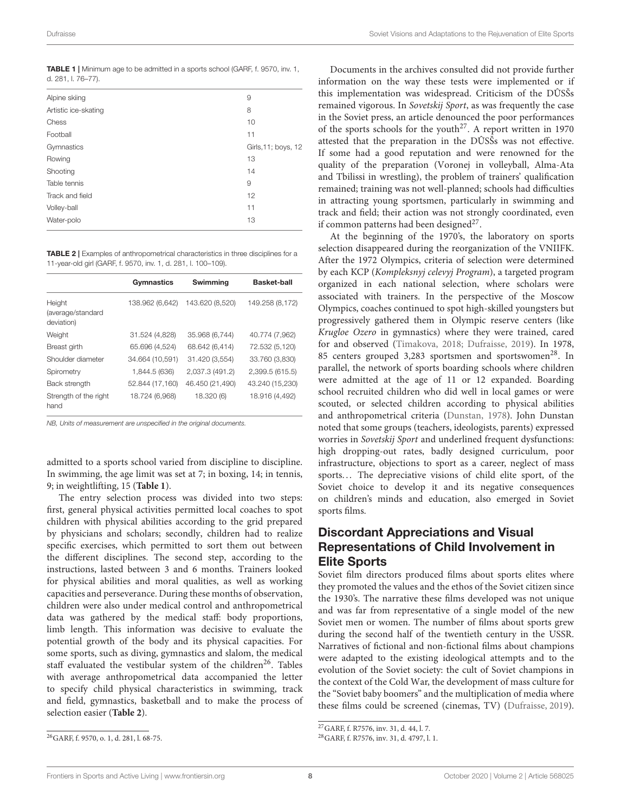<span id="page-8-0"></span>

|                    | <b>TABLE 1</b>   Minimum age to be admitted in a sports school (GARF, f. 9570, inv. 1, |
|--------------------|----------------------------------------------------------------------------------------|
| d. 281, I. 76-77). |                                                                                        |

| Alpine skiing        | 9                   |
|----------------------|---------------------|
| Artistic ice-skating | 8                   |
| Chess                | 10                  |
| Football             | 11                  |
| Gymnastics           | Girls, 11; boys, 12 |
| Rowing               | 13                  |
| Shooting             | 14                  |
| Table tennis         | 9                   |
| Track and field      | 12                  |
| Volley-ball          | 11                  |
| Water-polo           | 13                  |
|                      |                     |

<span id="page-8-2"></span>TABLE 2 | Examples of anthropometrical characteristics in three disciplines for a 11-year-old girl (GARF, f. 9570, inv. 1, d. 281, l. 100–109).

|                                           | Gymnastics      | Swimming        | <b>Basket-ball</b> |
|-------------------------------------------|-----------------|-----------------|--------------------|
| Height<br>(average/standard<br>deviation) | 138.962 (6,642) | 143.620 (8,520) | 149.258 (8,172)    |
| Weight                                    | 31.524 (4,828)  | 35.968 (6,744)  | 40.774 (7,962)     |
| Breast girth                              | 65.696 (4,524)  | 68.642 (6,414)  | 72.532 (5,120)     |
| Shoulder diameter                         | 34.664 (10,591) | 31.420 (3,554)  | 33.760 (3,830)     |
| Spirometry                                | 1,844.5 (636)   | 2,037.3 (491.2) | 2,399.5 (615.5)    |
| Back strength                             | 52.844 (17,160) | 46.450 (21,490) | 43.240 (15,230)    |
| Strength of the right<br>hand             | 18.724 (6,968)  | 18.320 (6)      | 18.916 (4,492)     |

NB, Units of measurement are unspecified in the original documents.

admitted to a sports school varied from discipline to discipline. In swimming, the age limit was set at 7; in boxing, 14; in tennis, 9; in weightlifting, 15 (**[Table 1](#page-8-0)**).

The entry selection process was divided into two steps: first, general physical activities permitted local coaches to spot children with physical abilities according to the grid prepared by physicians and scholars; secondly, children had to realize specific exercises, which permitted to sort them out between the different disciplines. The second step, according to the instructions, lasted between 3 and 6 months. Trainers looked for physical abilities and moral qualities, as well as working capacities and perseverance. During these months of observation, children were also under medical control and anthropometrical data was gathered by the medical staff: body proportions, limb length. This information was decisive to evaluate the potential growth of the body and its physical capacities. For some sports, such as diving, gymnastics and slalom, the medical staff evaluated the vestibular system of the children<sup>[26](#page-8-1)</sup>. Tables with average anthropometrical data accompanied the letter to specify child physical characteristics in swimming, track and field, gymnastics, basketball and to make the process of selection easier (**[Table 2](#page-8-2)**).

Documents in the archives consulted did not provide further information on the way these tests were implemented or if this implementation was widespread. Criticism of the DÛSŠs remained vigorous. In Sovetskij Sport, as was frequently the case in the Soviet press, an article denounced the poor performances of the sports schools for the youth<sup>[27](#page-8-3)</sup>. A report written in 1970 attested that the preparation in the DÛSŠs was not effective. If some had a good reputation and were renowned for the quality of the preparation (Voronej in volleyball, Alma-Ata and Tbilissi in wrestling), the problem of trainers' qualification remained; training was not well-planned; schools had difficulties in attracting young sportsmen, particularly in swimming and track and field; their action was not strongly coordinated, even if common patterns had been designed<sup>27</sup>.

At the beginning of the 1970's, the laboratory on sports selection disappeared during the reorganization of the VNIIFK. After the 1972 Olympics, criteria of selection were determined by each KCP (Kompleksnyj celevyj Program), a targeted program organized in each national selection, where scholars were associated with trainers. In the perspective of the Moscow Olympics, coaches continued to spot high-skilled youngsters but progressively gathered them in Olympic reserve centers (like Krugloe Ozero in gymnastics) where they were trained, cared for and observed [\(Timakova, 2018;](#page-13-20) [Dufraisse, 2019\)](#page-12-9). In 1978, 85 centers grouped 3,[28](#page-8-4)3 sportsmen and sportswomen<sup>28</sup>. In parallel, the network of sports boarding schools where children were admitted at the age of 11 or 12 expanded. Boarding school recruited children who did well in local games or were scouted, or selected children according to physical abilities and anthropometrical criteria [\(Dunstan, 1978\)](#page-12-30). John Dunstan noted that some groups (teachers, ideologists, parents) expressed worries in Sovetskij Sport and underlined frequent dysfunctions: high dropping-out rates, badly designed curriculum, poor infrastructure, objections to sport as a career, neglect of mass sports... The depreciative visions of child elite sport, of the Soviet choice to develop it and its negative consequences on children's minds and education, also emerged in Soviet sports films.

#### Discordant Appreciations and Visual Representations of Child Involvement in Elite Sports

Soviet film directors produced films about sports elites where they promoted the values and the ethos of the Soviet citizen since the 1930's. The narrative these films developed was not unique and was far from representative of a single model of the new Soviet men or women. The number of films about sports grew during the second half of the twentieth century in the USSR. Narratives of fictional and non-fictional films about champions were adapted to the existing ideological attempts and to the evolution of the Soviet society: the cult of Soviet champions in the context of the Cold War, the development of mass culture for the "Soviet baby boomers" and the multiplication of media where these films could be screened (cinemas, TV) [\(Dufraisse, 2019\)](#page-12-9).

<span id="page-8-1"></span><sup>26</sup>GARF, f. 9570, o. 1, d. 281, l. 68-75.

<span id="page-8-3"></span><sup>27</sup>GARF, f. R7576, inv. 31, d. 44, l. 7.

<span id="page-8-4"></span><sup>28</sup>GARF, f. R7576, inv. 31, d. 4797, l. 1.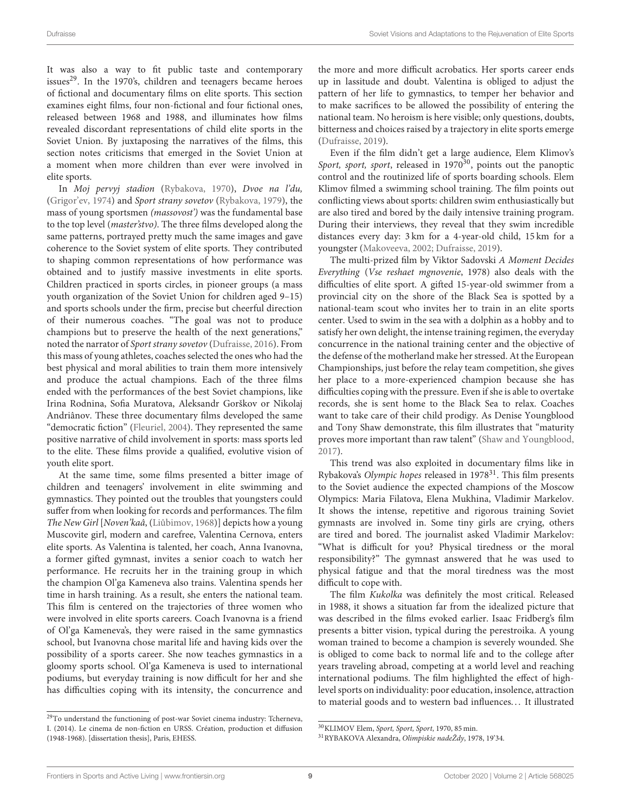It was also a way to fit public taste and contemporary issues<sup>[29](#page-9-0)</sup>. In the 1970's, children and teenagers became heroes of fictional and documentary films on elite sports. This section examines eight films, four non-fictional and four fictional ones, released between 1968 and 1988, and illuminates how films revealed discordant representations of child elite sports in the Soviet Union. By juxtaposing the narratives of the films, this section notes criticisms that emerged in the Soviet Union at a moment when more children than ever were involved in elite sports.

In Moj pervyj stadion [\(Rybakova, 1970\)](#page-13-21), Dvoe na l'du, [\(Grigor'ev, 1974\)](#page-12-33) and Sport strany sovetov [\(Rybakova, 1979\)](#page-13-22), the mass of young sportsmen (massovost') was the fundamental base to the top level (master'stvo). The three films developed along the same patterns, portrayed pretty much the same images and gave coherence to the Soviet system of elite sports. They contributed to shaping common representations of how performance was obtained and to justify massive investments in elite sports. Children practiced in sports circles, in pioneer groups (a mass youth organization of the Soviet Union for children aged 9–15) and sports schools under the firm, precise but cheerful direction of their numerous coaches. "The goal was not to produce champions but to preserve the health of the next generations," noted the narrator of Sport strany sovetov [\(Dufraisse, 2016\)](#page-12-32). From this mass of young athletes, coaches selected the ones who had the best physical and moral abilities to train them more intensively and produce the actual champions. Each of the three films ended with the performances of the best Soviet champions, like Irina Rodnina, Sofia Muratova, Aleksandr Gorškov or Nikolaj Andriânov. These three documentary films developed the same "democratic fiction" [\(Fleuriel, 2004\)](#page-12-34). They represented the same positive narrative of child involvement in sports: mass sports led to the elite. These films provide a qualified, evolutive vision of youth elite sport.

At the same time, some films presented a bitter image of children and teenagers' involvement in elite swimming and gymnastics. They pointed out the troubles that youngsters could suffer from when looking for records and performances. The film The New Girl [Noven'kaâ, [\(Liûbimov, 1968\)](#page-12-35)] depicts how a young Muscovite girl, modern and carefree, Valentina Cernova, enters elite sports. As Valentina is talented, her coach, Anna Ivanovna, a former gifted gymnast, invites a senior coach to watch her performance. He recruits her in the training group in which the champion Ol'ga Kameneva also trains. Valentina spends her time in harsh training. As a result, she enters the national team. This film is centered on the trajectories of three women who were involved in elite sports careers. Coach Ivanovna is a friend of Ol'ga Kameneva's, they were raised in the same gymnastics school, but Ivanovna chose marital life and having kids over the possibility of a sports career. She now teaches gymnastics in a gloomy sports school. Ol'ga Kameneva is used to international podiums, but everyday training is now difficult for her and she has difficulties coping with its intensity, the concurrence and the more and more difficult acrobatics. Her sports career ends up in lassitude and doubt. Valentina is obliged to adjust the pattern of her life to gymnastics, to temper her behavior and to make sacrifices to be allowed the possibility of entering the national team. No heroism is here visible; only questions, doubts, bitterness and choices raised by a trajectory in elite sports emerge [\(Dufraisse, 2019\)](#page-12-9).

Even if the film didn't get a large audience, Elem Klimov's Sport, sport, sport, released in  $1970^{30}$  $1970^{30}$  $1970^{30}$ , points out the panoptic control and the routinized life of sports boarding schools. Elem Klimov filmed a swimming school training. The film points out conflicting views about sports: children swim enthusiastically but are also tired and bored by the daily intensive training program. During their interviews, they reveal that they swim incredible distances every day: 3 km for a 4-year-old child, 15 km for a youngster [\(Makoveeva, 2002;](#page-12-36) [Dufraisse, 2019\)](#page-12-9).

The multi-prized film by Viktor Sadovski A Moment Decides Everything (Vse reshaet mgnovenie, 1978) also deals with the difficulties of elite sport. A gifted 15-year-old swimmer from a provincial city on the shore of the Black Sea is spotted by a national-team scout who invites her to train in an elite sports center. Used to swim in the sea with a dolphin as a hobby and to satisfy her own delight, the intense training regimen, the everyday concurrence in the national training center and the objective of the defense of the motherland make her stressed. At the European Championships, just before the relay team competition, she gives her place to a more-experienced champion because she has difficulties coping with the pressure. Even if she is able to overtake records, she is sent home to the Black Sea to relax. Coaches want to take care of their child prodigy. As Denise Youngblood and Tony Shaw demonstrate, this film illustrates that "maturity proves more important than raw talent" [\(Shaw and Youngblood,](#page-13-23) [2017\)](#page-13-23).

This trend was also exploited in documentary films like in Rybakova's Olympic hopes released in 1978<sup>[31](#page-9-2)</sup>. This film presents to the Soviet audience the expected champions of the Moscow Olympics: Maria Filatova, Elena Mukhina, Vladimir Markelov. It shows the intense, repetitive and rigorous training Soviet gymnasts are involved in. Some tiny girls are crying, others are tired and bored. The journalist asked Vladimir Markelov: "What is difficult for you? Physical tiredness or the moral responsibility?" The gymnast answered that he was used to physical fatigue and that the moral tiredness was the most difficult to cope with.

The film Kukolka was definitely the most critical. Released in 1988, it shows a situation far from the idealized picture that was described in the films evoked earlier. Isaac Fridberg's film presents a bitter vision, typical during the perestroika. A young woman trained to become a champion is severely wounded. She is obliged to come back to normal life and to the college after years traveling abroad, competing at a world level and reaching international podiums. The film highlighted the effect of highlevel sports on individuality: poor education, insolence, attraction to material goods and to western bad influences. . . It illustrated

<span id="page-9-0"></span><sup>29</sup>To understand the functioning of post-war Soviet cinema industry: Tcherneva, I. (2014). Le cinema de non-fiction en URSS. Création, production et diffusion (1948-1968). [dissertation thesis], Paris, EHESS.

<span id="page-9-1"></span><sup>30</sup>KLIMOV Elem, Sport, Sport, Sport, 1970, 85 min.

<span id="page-9-2"></span><sup>31</sup>RYBAKOVA Alexandra, Olimpiskie nadeŽdy, 1978, 19'34.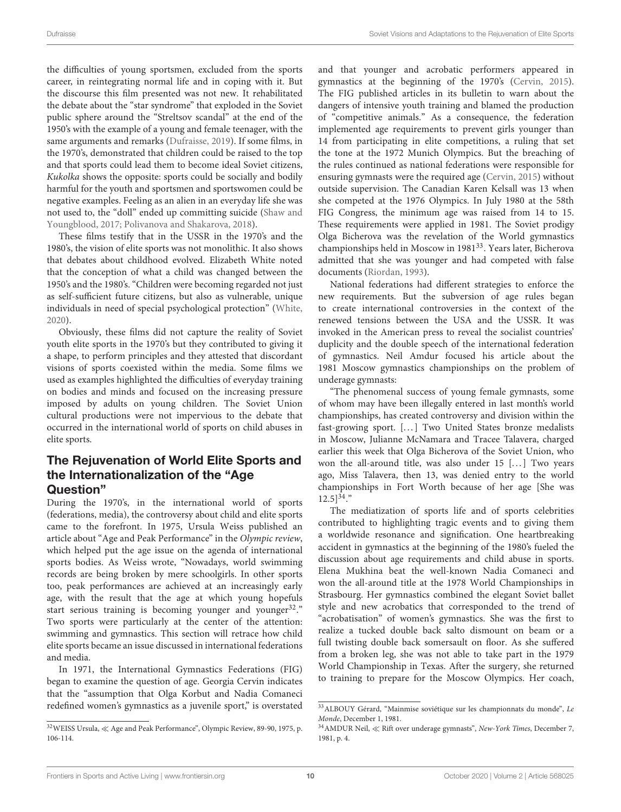the difficulties of young sportsmen, excluded from the sports career, in reintegrating normal life and in coping with it. But the discourse this film presented was not new. It rehabilitated the debate about the "star syndrome" that exploded in the Soviet public sphere around the "Streltsov scandal" at the end of the 1950's with the example of a young and female teenager, with the same arguments and remarks [\(Dufraisse, 2019\)](#page-12-9). If some films, in the 1970's, demonstrated that children could be raised to the top and that sports could lead them to become ideal Soviet citizens, Kukolka shows the opposite: sports could be socially and bodily harmful for the youth and sportsmen and sportswomen could be negative examples. Feeling as an alien in an everyday life she was not used to, the "doll" ended up committing suicide (Shaw and Youngblood, [2017;](#page-13-23) [Polivanova and Shakarova, 2018\)](#page-13-24).

These films testify that in the USSR in the 1970's and the 1980's, the vision of elite sports was not monolithic. It also shows that debates about childhood evolved. Elizabeth White noted that the conception of what a child was changed between the 1950's and the 1980's. "Children were becoming regarded not just as self-sufficient future citizens, but also as vulnerable, unique individuals in need of special psychological protection" [\(White,](#page-13-10) [2020\)](#page-13-10).

Obviously, these films did not capture the reality of Soviet youth elite sports in the 1970's but they contributed to giving it a shape, to perform principles and they attested that discordant visions of sports coexisted within the media. Some films we used as examples highlighted the difficulties of everyday training on bodies and minds and focused on the increasing pressure imposed by adults on young children. The Soviet Union cultural productions were not impervious to the debate that occurred in the international world of sports on child abuses in elite sports.

#### The Rejuvenation of World Elite Sports and the Internationalization of the "Age Question"

During the 1970's, in the international world of sports (federations, media), the controversy about child and elite sports came to the forefront. In 1975, Ursula Weiss published an article about "Age and Peak Performance" in the Olympic review, which helped put the age issue on the agenda of international sports bodies. As Weiss wrote, "Nowadays, world swimming records are being broken by mere schoolgirls. In other sports too, peak performances are achieved at an increasingly early age, with the result that the age at which young hopefuls start serious training is becoming younger and younger $32$ ." Two sports were particularly at the center of the attention: swimming and gymnastics. This section will retrace how child elite sports became an issue discussed in international federations and media.

In 1971, the International Gymnastics Federations (FIG) began to examine the question of age. Georgia Cervin indicates that the "assumption that Olga Korbut and Nadia Comaneci redefined women's gymnastics as a juvenile sport," is overstated and that younger and acrobatic performers appeared in gymnastics at the beginning of the 1970's [\(Cervin, 2015\)](#page-12-29). The FIG published articles in its bulletin to warn about the dangers of intensive youth training and blamed the production of "competitive animals." As a consequence, the federation implemented age requirements to prevent girls younger than 14 from participating in elite competitions, a ruling that set the tone at the 1972 Munich Olympics. But the breaching of the rules continued as national federations were responsible for ensuring gymnasts were the required age [\(Cervin, 2015\)](#page-12-29) without outside supervision. The Canadian Karen Kelsall was 13 when she competed at the 1976 Olympics. In July 1980 at the 58th FIG Congress, the minimum age was raised from 14 to 15. These requirements were applied in 1981. The Soviet prodigy Olga Bicherova was the revelation of the World gymnastics championships held in Moscow in 1981<sup>[33](#page-10-1)</sup>. Years later, Bicherova admitted that she was younger and had competed with false documents [\(Riordan, 1993\)](#page-13-25).

National federations had different strategies to enforce the new requirements. But the subversion of age rules began to create international controversies in the context of the renewed tensions between the USA and the USSR. It was invoked in the American press to reveal the socialist countries' duplicity and the double speech of the international federation of gymnastics. Neil Amdur focused his article about the 1981 Moscow gymnastics championships on the problem of underage gymnasts:

"The phenomenal success of young female gymnasts, some of whom may have been illegally entered in last month's world championships, has created controversy and division within the fast-growing sport. [...] Two United States bronze medalists in Moscow, Julianne McNamara and Tracee Talavera, charged earlier this week that Olga Bicherova of the Soviet Union, who won the all-around title, was also under 15 [...] Two years ago, Miss Talavera, then 13, was denied entry to the world championships in Fort Worth because of her age [She was  $12.5$ ]<sup>[34](#page-10-2)</sup>."

The mediatization of sports life and of sports celebrities contributed to highlighting tragic events and to giving them a worldwide resonance and signification. One heartbreaking accident in gymnastics at the beginning of the 1980's fueled the discussion about age requirements and child abuse in sports. Elena Mukhina beat the well-known Nadia Comaneci and won the all-around title at the 1978 World Championships in Strasbourg. Her gymnastics combined the elegant Soviet ballet style and new acrobatics that corresponded to the trend of "acrobatisation" of women's gymnastics. She was the first to realize a tucked double back salto dismount on beam or a full twisting double back somersault on floor. As she suffered from a broken leg, she was not able to take part in the 1979 World Championship in Texas. After the surgery, she returned to training to prepare for the Moscow Olympics. Her coach,

<span id="page-10-0"></span><sup>32</sup>WEISS Ursula, ≪ Age and Peak Performance", Olympic Review, 89-90, 1975, p. 106-114.

<span id="page-10-1"></span><sup>33</sup>ALBOUY Gérard, "Mainmise soviétique sur les championnats du monde", Le Monde, December 1, 1981.

<span id="page-10-2"></span> $34$ AMDUR Neil,  $\ll$  Rift over underage gymnasts", New-York Times, December 7, 1981, p. 4.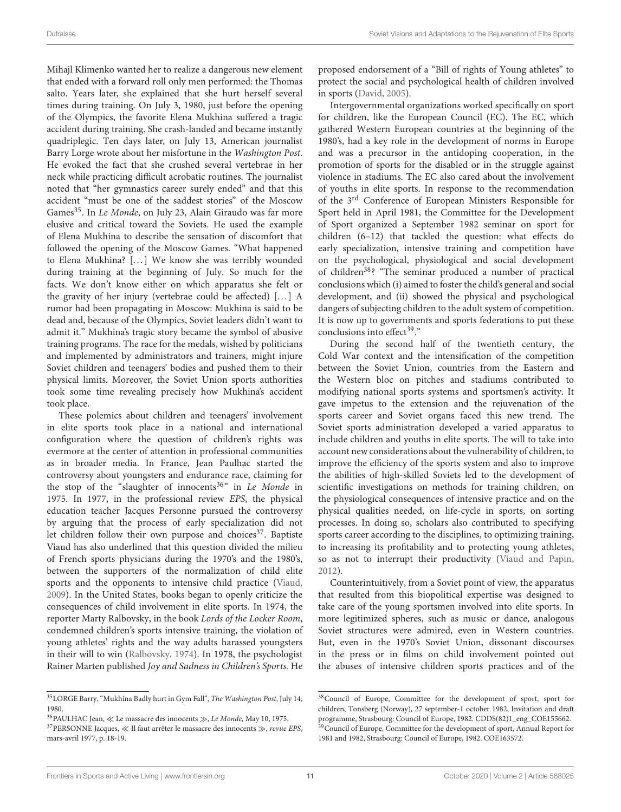Mihajl Klimenko wanted her to realize a dangerous new element that ended with a forward roll only men performed: the Thomas salto. Years later, she explained that she hurt herself several times during training. On July 3, 1980, just before the opening of the Olympics, the favorite Elena Mukhina suffered a tragic accident during training. She crash-landed and became instantly quadriplegic. Ten days later, on July 13, American journalist Barry Lorge wrote about her misfortune in the Washington Post. He evoked the fact that she crushed several vertebrae in her neck while practicing difficult acrobatic routines. The journalist noted that "her gymnastics career surely ended" and that this accident "must be one of the saddest stories" of the Moscow Games<sup>[35](#page-11-0)</sup>. In Le Monde, on July 23, Alain Giraudo was far more elusive and critical toward the Soviets. He used the example of Elena Mukhina to describe the sensation of discomfort that followed the opening of the Moscow Games. "What happened to Elena Mukhina? [...] We know she was terribly wounded during training at the beginning of July. So much for the facts. We don't know either on which apparatus she felt or the gravity of her injury (vertebrae could be affected)  $[...] A$ rumor had been propagating in Moscow: Mukhina is said to be dead and, because of the Olympics, Soviet leaders didn't want to admit it." Mukhina's tragic story became the symbol of abusive training programs. The race for the medals, wished by politicians and implemented by administrators and trainers, might injure Soviet children and teenagers' bodies and pushed them to their physical limits. Moreover, the Soviet Union sports authorities took some time revealing precisely how Mukhina's accident took place.

These polemics about children and teenagers' involvement in elite sports took place in a national and international configuration where the question of children's rights was evermore at the center of attention in professional communities as in broader media. In France, Jean Paulhac started the controversy about youngsters and endurance race, claiming for the stop of the "slaughter of innocents<sup>[36](#page-11-1)</sup>" in Le Monde in 1975. In 1977, in the professional review EPS, the physical education teacher Jacques Personne pursued the controversy by arguing that the process of early specialization did not let children follow their own purpose and choices $37$ . Baptiste Viaud has also underlined that this question divided the milieu of French sports physicians during the 1970's and the 1980's, between the supporters of the normalization of child elite sports and the opponents to intensive child practice [\(Viaud,](#page-13-26) [2009\)](#page-13-26). In the United States, books began to openly criticize the consequences of child involvement in elite sports. In 1974, the reporter Marty Ralbovsky, in the book Lords of the Locker Room, condemned children's sports intensive training, the violation of young athletes' rights and the way adults harassed youngsters in their will to win [\(Ralbovsky, 1974\)](#page-13-27). In 1978, the psychologist Rainer Marten published Joy and Sadness in Children's Sports. He proposed endorsement of a "Bill of rights of Young athletes" to protect the social and psychological health of children involved in sports [\(David, 2005\)](#page-12-37).

Intergovernmental organizations worked specifically on sport for children, like the European Council (EC). The EC, which gathered Western European countries at the beginning of the 1980's, had a key role in the development of norms in Europe and was a precursor in the antidoping cooperation, in the promotion of sports for the disabled or in the struggle against violence in stadiums. The EC also cared about the involvement of youths in elite sports. In response to the recommendation of the 3rd Conference of European Ministers Responsible for Sport held in April 1981, the Committee for the Development of Sport organized a September 1982 seminar on sport for children (6–12) that tackled the question: what effects do early specialization, intensive training and competition have on the psychological, physiological and social development of children[38](#page-11-3)? "The seminar produced a number of practical conclusions which (i) aimed to foster the child's general and social development, and (ii) showed the physical and psychological dangers of subjecting children to the adult system of competition. It is now up to governments and sports federations to put these conclusions into effect $39$ ."

During the second half of the twentieth century, the Cold War context and the intensification of the competition between the Soviet Union, countries from the Eastern and the Western bloc on pitches and stadiums contributed to modifying national sports systems and sportsmen's activity. It gave impetus to the extension and the rejuvenation of the sports career and Soviet organs faced this new trend. The Soviet sports administration developed a varied apparatus to include children and youths in elite sports. The will to take into account new considerations about the vulnerability of children, to improve the efficiency of the sports system and also to improve the abilities of high-skilled Soviets led to the development of scientific investigations on methods for training children, on the physiological consequences of intensive practice and on the physical qualities needed, on life-cycle in sports, on sorting processes. In doing so, scholars also contributed to specifying sports career according to the disciplines, to optimizing training, to increasing its profitability and to protecting young athletes, so as not to interrupt their productivity [\(Viaud and Papin,](#page-13-19) [2012\)](#page-13-19).

Counterintuitively, from a Soviet point of view, the apparatus that resulted from this biopolitical expertise was designed to take care of the young sportsmen involved into elite sports. In more legitimized spheres, such as music or dance, analogous Soviet structures were admired, even in Western countries. But, even in the 1970's Soviet Union, dissonant discourses in the press or in films on child involvement pointed out the abuses of intensive children sports practices and of the

<span id="page-11-0"></span> $^{35}\rm LORGE$  Barry, "Mukhina Badly hurt in Gym Fall", The Washington Post, July 14, 1980.

<span id="page-11-2"></span><span id="page-11-1"></span> $^{36}\text{PAULHAC}$  Jean,  $\ll$  Le massacre des innocents  $\gg$  ,  $Le$   $Monde,$  May 10, 1975. <sup>37</sup>PERSONNE Jacques, ≪ Il faut arrêter le massacre des innocents ≫, revue EPS, mars-avril 1977, p. 18-19.

<span id="page-11-4"></span><span id="page-11-3"></span><sup>38</sup>Council of Europe, Committee for the development of sport, sport for children, Tonsberg (Norway), 27 september-1 october 1982, Invitation and draft programme, Strasbourg: Council of Europe, 1982. CDDS(82)1\_eng\_COE155662. <sup>39</sup>Council of Europe, Committee for the development of sport, Annual Report for 1981 and 1982, Strasbourg: Council of Europe, 1982. COE163572.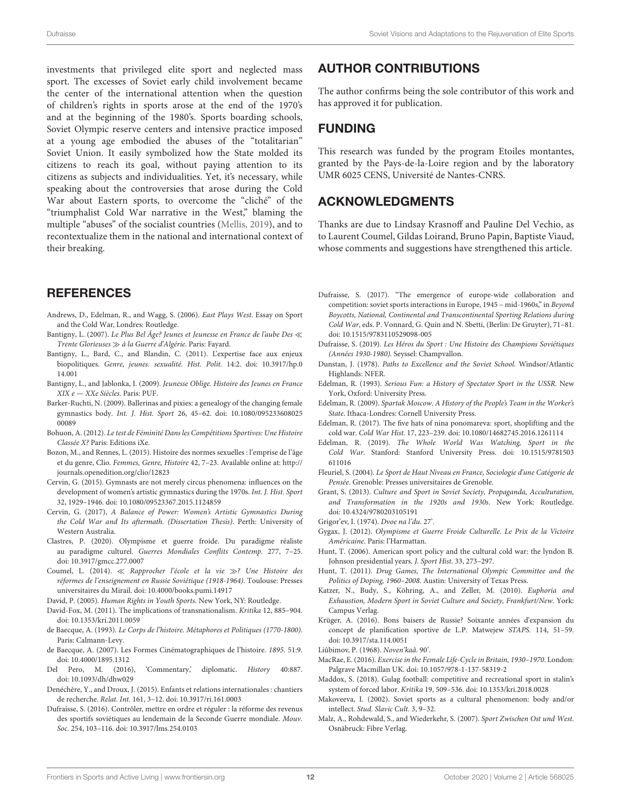investments that privileged elite sport and neglected mass sport. The excesses of Soviet early child involvement became the center of the international attention when the question of children's rights in sports arose at the end of the 1970's and at the beginning of the 1980's. Sports boarding schools, Soviet Olympic reserve centers and intensive practice imposed at a young age embodied the abuses of the "totalitarian" Soviet Union. It easily symbolized how the State molded its citizens to reach its goal, without paying attention to its citizens as subjects and individualities. Yet, it's necessary, while speaking about the controversies that arose during the Cold War about Eastern sports, to overcome the "cliché" of the "triumphalist Cold War narrative in the West," blaming the multiple "abuses" of the socialist countries [\(Mellis, 2019\)](#page-13-0), and to recontextualize them in the national and international context of their breaking.

#### **REFERENCES**

- <span id="page-12-3"></span>Andrews, D., Edelman, R., and Wagg, S. (2006). East Plays West. Essay on Sport and the Cold War, Londres: Routledge.
- <span id="page-12-20"></span>Bantigny, L. (2007). Le Plus Bel Âge? Jeunes et Jeunesse en France de l'aube Des ≪ Trente Glorieuses ≫ à la Guerre d'Algérie. Paris: Fayard.
- <span id="page-12-22"></span>Bantigny, L., Bard, C., and Blandin, C. (2011). L'expertise face aux enjeux biopolitiques. [Genre, jeunes. sexualité. Hist. Polit.](https://doi.org/10.3917/hp.014.001) 14:2. doi: 10.3917/hp.0 14.001
- <span id="page-12-21"></span>Bantigny, L., and Jablonka, I. (2009). Jeunesse Oblige. Histoire des Jeunes en France XIX e — XXe Siècles. Paris: PUF.
- <span id="page-12-5"></span>Barker-Ruchti, N. (2009). Ballerinas and pixies: a genealogy of the changing female gymnastics body. Int. J. Hist. Sport [26, 45–62. doi: 10.1080/095233608025](https://doi.org/10.1080/09523360802500089) 00089
- <span id="page-12-6"></span>Bohuon, A. (2012). Le test de Féminité Dans les Compétitions Sportives: Une Histoire Classée X? Paris: Editions iXe.
- <span id="page-12-23"></span>Bozon, M., and Rennes, L. (2015). Histoire des normes sexuelles : l'emprise de l'âge et du genre, Clio. Femmes, Genre, Histoire 42, 7–23. Available online at: [http://](http://journals.openedition.org/clio/12823) [journals.openedition.org/clio/12823](http://journals.openedition.org/clio/12823)
- <span id="page-12-29"></span>Cervin, G. (2015). Gymnasts are not merely circus phenomena: influences on the development of women's artistic gymnastics during the 1970s. Int. J. Hist. Sport 32, 1929–1946. doi: [10.1080/09523367.2015.1124859](https://doi.org/10.1080/09523367.2015.1124859)
- <span id="page-12-19"></span>Cervin, G. (2017), A Balance of Power: Women's Artistic Gymnastics During the Cold War and Its aftermath. (Dissertation Thesis). Perth: University of Western Australia.
- <span id="page-12-1"></span>Clastres, P. (2020). Olympisme et guerre froide. Du paradigme réaliste au paradigme culturel. Guerres Mondiales Conflits Contemp. 277, 7–25. doi: [10.3917/gmcc.277.0007](https://doi.org/10.3917/gmcc.277.0007)
- <span id="page-12-31"></span>Coumel, L. (2014). ≪ Rapprocher l'école et la vie ≫? Une Histoire des réformes de l'enseignement en Russie Soviétique (1918-1964). Toulouse: Presses universitaires du Mirail. doi: [10.4000/books.pumi.14917](https://doi.org/10.4000/books.pumi.14917)
- <span id="page-12-37"></span>David, P. (2005). Human Rights in Youth Sports. New York, NY: Routledge.
- <span id="page-12-27"></span>David-Fox, M. (2011). The implications of transnationalism. Kritika 12, 885–904. doi: [10.1353/kri.2011.0059](https://doi.org/10.1353/kri.2011.0059)
- <span id="page-12-25"></span>de Baecque, A. (1993). Le Corps de l'histoire. Métaphores et Politiques (1770-1800). Paris: Calmann-Levy.
- <span id="page-12-26"></span>de Baecque, A. (2007). Les Formes Cinématographiques de l'histoire. 1895. 51:9. doi: [10.4000/1895.1312](https://doi.org/10.4000/1895.1312)
- <span id="page-12-2"></span>Del Pero, M. (2016), 'Commentary', diplomatic. History 40:887. doi: [10.1093/dh/dhw029](https://doi.org/10.1093/dh/dhw029)
- <span id="page-12-28"></span>Denéchère, Y., and Droux, J. (2015). Enfants et relations internationales : chantiers de recherche. Relat. Int. 161, 3–12. doi: [10.3917/ri.161.0003](https://doi.org/10.3917/ri.161.0003)
- <span id="page-12-32"></span>Dufraisse, S. (2016). Contrôler, mettre en ordre et réguler : la réforme des revenus des sportifs soviétiques au lendemain de la Seconde Guerre mondiale. Mouv. Soc. 254, 103–116. doi: [10.3917/lms.254.0103](https://doi.org/10.3917/lms.254.0103)

#### AUTHOR CONTRIBUTIONS

The author confirms being the sole contributor of this work and has approved it for publication.

#### FUNDING

This research was funded by the program Etoiles montantes, granted by the Pays-de-la-Loire region and by the laboratory UMR 6025 CENS, Université de Nantes-CNRS.

#### ACKNOWLEDGMENTS

Thanks are due to Lindsay Krasnoff and Pauline Del Vechio, as to Laurent Coumel, Gildas Loirand, Bruno Papin, Baptiste Viaud, whose comments and suggestions have strengthened this article.

- <span id="page-12-15"></span>Dufraisse, S. (2017). "The emergence of europe-wide collaboration and competition: soviet sports interactions in Europe, 1945 – mid-1960s," in Beyond Boycotts, National, Continental and Transcontinental Sporting Relations during Cold War, eds. P. Vonnard, G. Quin and N. Sbetti, (Berlin: De Gruyter), 71–81. doi: [10.1515/9783110529098-005](https://doi.org/10.1515/9783110529098-005)
- <span id="page-12-9"></span>Dufraisse, S. (2019). Les Héros du Sport : Une Histoire des Champions Soviétiques (Années 1930-1980). Seyssel: Champvallon.
- <span id="page-12-30"></span>Dunstan, J. (1978). Paths to Excellence and the Soviet School. Windsor/Atlantic Highlands: NFER.
- <span id="page-12-10"></span>Edelman, R. (1993). Serious Fun: a History of Spectator Sport in the USSR. New York, Oxford: University Press.
- <span id="page-12-11"></span>Edelman, R. (2009). Spartak Moscow. A History of the People's Team in the Worker's State. Ithaca-Londres: Cornell University Press.
- <span id="page-12-18"></span>Edelman, R. (2017). The five hats of nina ponomareva: sport, shoplifting and the cold war. Cold War Hist. 17, 223–239. doi: [10.1080/14682745.2016.1261114](https://doi.org/10.1080/14682745.2016.1261114)
- <span id="page-12-0"></span>Edelman, R. (2019). The Whole World Was Watching, Sport in the Cold War[. Stanford: Stanford University Press. doi: 10.1515/9781503](https://doi.org/10.1515/9781503611016) 611016
- <span id="page-12-34"></span>Fleuriel, S. (2004). Le Sport de Haut Niveau en France, Sociologie d'une Catégorie de Pensée. Grenoble: Presses universitaires de Grenoble.
- <span id="page-12-13"></span>Grant, S. (2013). Culture and Sport in Soviet Society, Propaganda, Acculturation, and Transformation in the 1920s and 1930s. New York: Routledge. doi: [10.4324/9780203105191](https://doi.org/10.4324/9780203105191)
- <span id="page-12-33"></span>Grigor'ev, I. (1974). Dvoe na l'du. 27'.
- <span id="page-12-8"></span>Gygax, J. (2012). Olympisme et Guerre Froide Culturelle. Le Prix de la Victoire Américaine. Paris: l'Harmattan.
- <span id="page-12-7"></span>Hunt, T. (2006). American sport policy and the cultural cold war: the lyndon B. Johnson presidential years. J. Sport Hist. 33, 273–297.
- <span id="page-12-17"></span>Hunt, T. (2011). Drug Games, The International Olympic Committee and the Politics of Doping, 1960–2008. Austin: University of Texas Press.
- <span id="page-12-12"></span>Katzer, N., Budy, S., Köhring, A., and Zeller, M. (2010). Euphoria and Exhaustion, Modern Sport in Soviet Culture and Society, Frankfurt/New. York: Campus Verlag.
- <span id="page-12-16"></span>Krüger, A. (2016). Bons baisers de Russie? Soixante années d'expansion du concept de planification sportive de L.P. Matwejew STAPS. 114, 51–59. doi: [10.3917/sta.114.0051](https://doi.org/10.3917/sta.114.0051)
- <span id="page-12-35"></span>Liûbimov, P. (1968). Noven'kaâ. 90'.
- <span id="page-12-24"></span>MacRae, E. (2016). Exercise in the Female Life-Cycle in Britain, 1930–1970. London: Palgrave Macmillan UK. doi: [10.1057/978-1-137-58319-2](https://doi.org/10.1057/978-1-137-58319-2)
- <span id="page-12-14"></span>Maddox, S. (2018). Gulag football: competitive and recreational sport in stalin's system of forced labor. Kritika 19, 509–536. doi: [10.1353/kri.2018.0028](https://doi.org/10.1353/kri.2018.0028)
- <span id="page-12-36"></span>Makoveeva, I. (2002). Soviet sports as a cultural phenomenon: body and/or intellect. Stud. Slavic Cult. 3, 9–32.
- <span id="page-12-4"></span>Malz, A., Rohdewald, S., and Wiederkehr, S. (2007). Sport Zwischen Ost und West. Osnäbruck: Fibre Verlag.